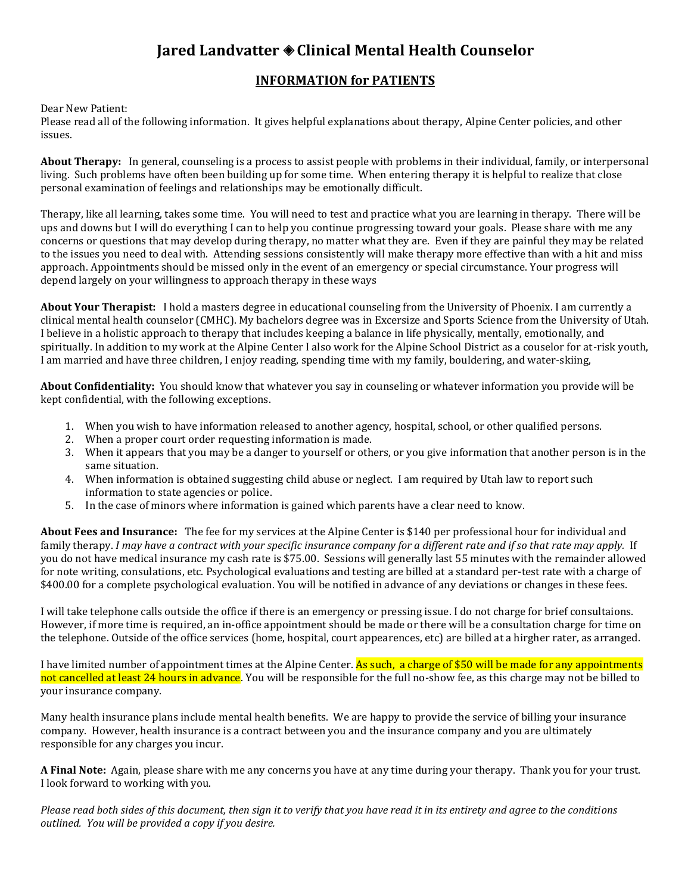## **Jared Landvatter Clinical Mental Health Counselor**

## **INFORMATION for PATIENTS**

Dear New Patient:

Please read all of the following information. It gives helpful explanations about therapy, Alpine Center policies, and other issues.

**About Therapy:** In general, counseling is a process to assist people with problems in their individual, family, or interpersonal living. Such problems have often been building up for some time. When entering therapy it is helpful to realize that close personal examination of feelings and relationships may be emotionally difficult.

Therapy, like all learning, takes some time. You will need to test and practice what you are learning in therapy. There will be ups and downs but I will do everything I can to help you continue progressing toward your goals. Please share with me any concerns or questions that may develop during therapy, no matter what they are. Even if they are painful they may be related to the issues you need to deal with. Attending sessions consistently will make therapy more effective than with a hit and miss approach. Appointments should be missed only in the event of an emergency or special circumstance. Your progress will depend largely on your willingness to approach therapy in these ways

**About Your Therapist:** I hold a masters degree in educational counseling from the University of Phoenix. I am currently a clinical mental health counselor (CMHC). My bachelors degree was in Excersize and Sports Science from the University of Utah. I believe in a holistic approach to therapy that includes keeping a balance in life physically, mentally, emotionally, and spiritually. In addition to my work at the Alpine Center I also work for the Alpine School District as a couselor for at-risk youth, I am married and have three children, I enjoy reading, spending time with my family, bouldering, and water-skiing,

**About Confidentiality:** You should know that whatever you say in counseling or whatever information you provide will be kept confidential, with the following exceptions.

- 1. When you wish to have information released to another agency, hospital, school, or other qualified persons.
- 2. When a proper court order requesting information is made.
- 3. When it appears that you may be a danger to yourself or others, or you give information that another person is in the same situation.
- 4. When information is obtained suggesting child abuse or neglect. I am required by Utah law to report such information to state agencies or police.
- 5. In the case of minors where information is gained which parents have a clear need to know.

**About Fees and Insurance:** The fee for my services at the Alpine Center is \$140 per professional hour for individual and family therapy. *I may have a contract with your specific insurance company for a different rate and if so that rate may apply.* If you do not have medical insurance my cash rate is \$75.00. Sessions will generally last 55 minutes with the remainder allowed for note writing, consulations, etc. Psychological evaluations and testing are billed at a standard per-test rate with a charge of \$400.00 for a complete psychological evaluation. You will be notified in advance of any deviations or changes in these fees.

I will take telephone calls outside the office if there is an emergency or pressing issue. I do not charge for brief consultaions. However, if more time is required, an in-office appointment should be made or there will be a consultation charge for time on the telephone. Outside of the office services (home, hospital, court appearences, etc) are billed at a hirgher rater, as arranged.

I have limited number of appointment times at the Alpine Center. As such, a charge of \$50 will be made for any appointments not cancelled at least 24 hours in advance. You will be responsible for the full no-show fee, as this charge may not be billed to your insurance company.

Many health insurance plans include mental health benefits. We are happy to provide the service of billing your insurance company. However, health insurance is a contract between you and the insurance company and you are ultimately responsible for any charges you incur.

**A Final Note:** Again, please share with me any concerns you have at any time during your therapy. Thank you for your trust. I look forward to working with you.

*Please read both sides of this document, then sign it to verify that you have read it in its entirety and agree to the conditions outlined. You will be provided a copy if you desire.*